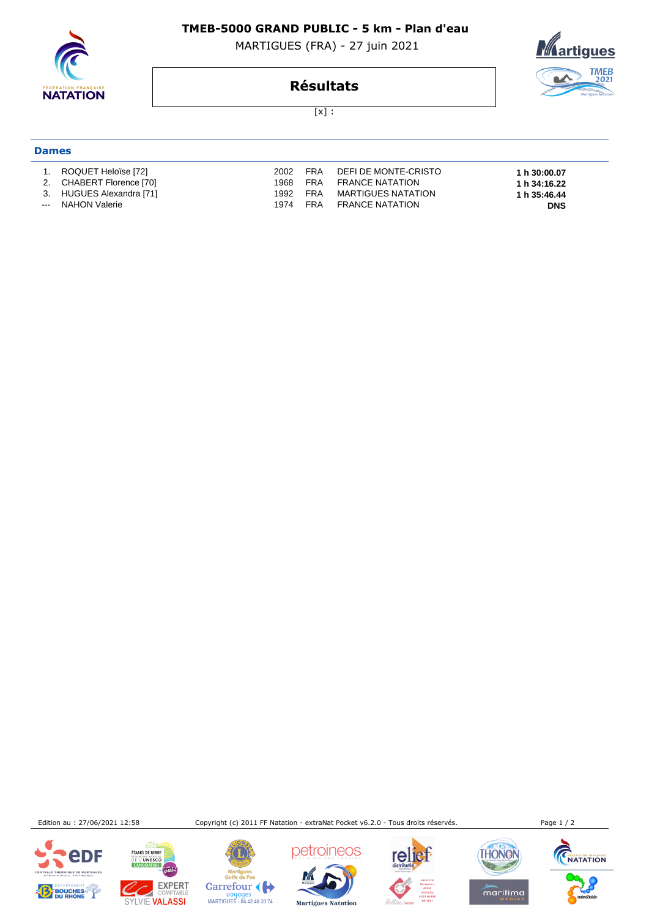

#### **TMEB-5000 GRAND PUBLIC - 5 km - Plan d'eau**

MARTIGUES (FRA) - 27 juin 2021



## **Résultats**

 $[x]$  :

# **Dames**

 1. ROQUET Heloïse [72] 2002 FRA DEFI DE MONTE-CRISTO **1 h 30:00.07**  2. CHABERT Florence [70] 1968 FRA FRANCE NATATION **1 h 34:16.22**  3. HUGUES Alexandra [71] 1992 FRA MARTIGUES NATATION **1 h 35:46.44**  -- NAHON Valerie 1974 FRA FRANCE NATATION

Edition au : 27/06/2021 12:58 Copyright (c) 2011 FF Natation - extraNat Pocket v6.2.0 - Tous droits réservés. Page 1 / 2







ÉTANG DE BERRE